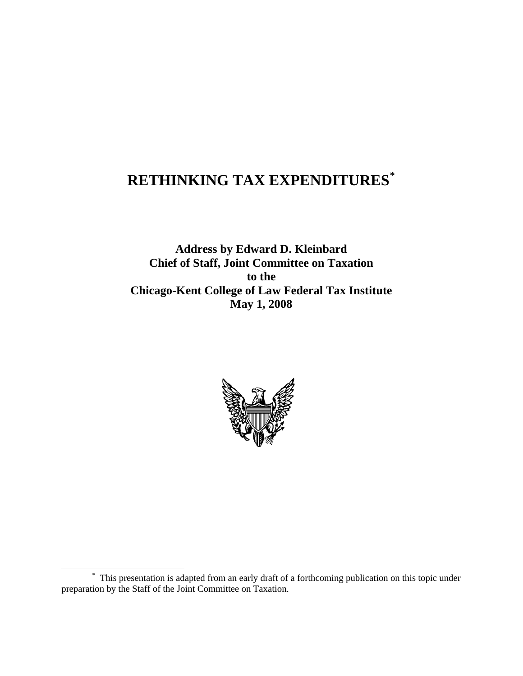# **RETHINKING TAX EXPENDITURES[\\*](#page-0-0)**

**Address by Edward D. Kleinbard Chief of Staff, Joint Committee on Taxation to the Chicago-Kent College of Law Federal Tax Institute May 1, 2008** 



<span id="page-0-0"></span> <sup>\*</sup> This presentation is adapted from an early draft of a forthcoming publication on this topic under preparation by the Staff of the Joint Committee on Taxation.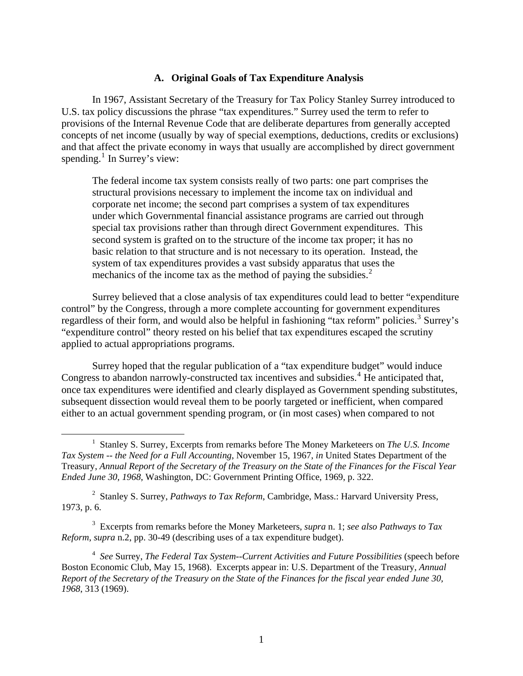### **A. Original Goals of Tax Expenditure Analysis**

In 1967, Assistant Secretary of the Treasury for Tax Policy Stanley Surrey introduced to U.S. tax policy discussions the phrase "tax expenditures." Surrey used the term to refer to provisions of the Internal Revenue Code that are deliberate departures from generally accepted concepts of net income (usually by way of special exemptions, deductions, credits or exclusions) and that affect the private economy in ways that usually are accomplished by direct government spending.<sup>[1](#page-1-0)</sup> In Surrey's view:

The federal income tax system consists really of two parts: one part comprises the structural provisions necessary to implement the income tax on individual and corporate net income; the second part comprises a system of tax expenditures under which Governmental financial assistance programs are carried out through special tax provisions rather than through direct Government expenditures. This second system is grafted on to the structure of the income tax proper; it has no basic relation to that structure and is not necessary to its operation. Instead, the system of tax expenditures provides a vast subsidy apparatus that uses the mechanics of the income tax as the method of paying the subsidies. $<sup>2</sup>$  $<sup>2</sup>$  $<sup>2</sup>$ </sup>

Surrey believed that a close analysis of tax expenditures could lead to better "expenditure control" by the Congress, through a more complete accounting for government expenditures regardless of their form, and would also be helpful in fashioning "tax reform" policies.<sup>[3](#page-1-2)</sup> Surrey's "expenditure control" theory rested on his belief that tax expenditures escaped the scrutiny applied to actual appropriations programs.

Surrey hoped that the regular publication of a "tax expenditure budget" would induce Congress to abandon narrowly-constructed tax incentives and subsidies.<sup>[4](#page-1-3)</sup> He anticipated that, once tax expenditures were identified and clearly displayed as Government spending substitutes, subsequent dissection would reveal them to be poorly targeted or inefficient, when compared either to an actual government spending program, or (in most cases) when compared to not

<span id="page-1-1"></span>2 Stanley S. Surrey, *Pathways to Tax Reform*, Cambridge, Mass.: Harvard University Press, 1973, p. 6.

<span id="page-1-2"></span>3 Excerpts from remarks before the Money Marketeers, *supra* n. 1; *see also Pathways to Tax Reform*, *supra* n.2, pp. 30-49 (describing uses of a tax expenditure budget).

<span id="page-1-3"></span>4 *See* Surrey, *The Federal Tax System--Current Activities and Future Possibilities* (speech before Boston Economic Club, May 15, 1968). Excerpts appear in: U.S. Department of the Treasury, *Annual Report of the Secretary of the Treasury on the State of the Finances for the fiscal year ended June 30, 1968*, 313 (1969).

<span id="page-1-0"></span><sup>&</sup>lt;u>1</u> Stanley S. Surrey, Excerpts from remarks before The Money Marketeers on *The U.S. Income Tax System -- the Need for a Full Accounting*, November 15, 1967, *in* United States Department of the Treasury, *Annual Report of the Secretary of the Treasury on the State of the Finances for the Fiscal Year Ended June 30, 1968*, Washington, DC: Government Printing Office, 1969, p. 322.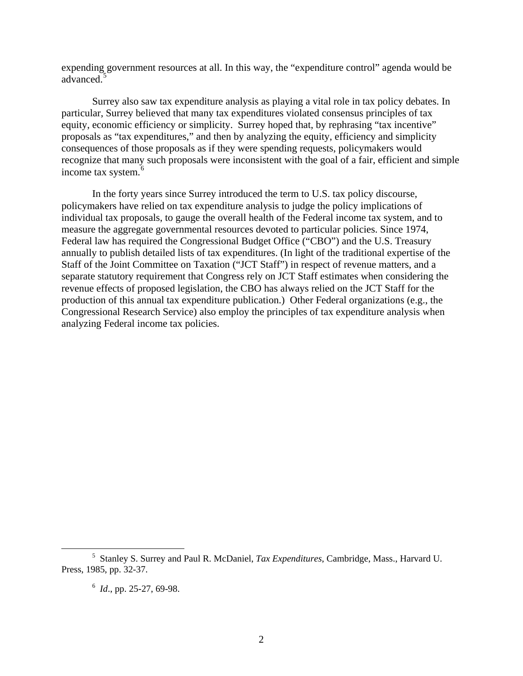expending government resources at all. In this way, the "expenditure control" agenda would be advanced.<sup>[5](#page-2-0)</sup>

Surrey also saw tax expenditure analysis as playing a vital role in tax policy debates. In particular, Surrey believed that many tax expenditures violated consensus principles of tax equity, economic efficiency or simplicity. Surrey hoped that, by rephrasing "tax incentive" proposals as "tax expenditures," and then by analyzing the equity, efficiency and simplicity consequences of those proposals as if they were spending requests, policymakers would recognize that many such proposals were inconsistent with the goal of a fair, efficient and simple income tax system.<sup>[6](#page-2-1)</sup>

In the forty years since Surrey introduced the term to U.S. tax policy discourse, policymakers have relied on tax expenditure analysis to judge the policy implications of individual tax proposals, to gauge the overall health of the Federal income tax system, and to measure the aggregate governmental resources devoted to particular policies. Since 1974, Federal law has required the Congressional Budget Office ("CBO") and the U.S. Treasury annually to publish detailed lists of tax expenditures. (In light of the traditional expertise of the Staff of the Joint Committee on Taxation ("JCT Staff") in respect of revenue matters, and a separate statutory requirement that Congress rely on JCT Staff estimates when considering the revenue effects of proposed legislation, the CBO has always relied on the JCT Staff for the production of this annual tax expenditure publication.) Other Federal organizations (e.g., the Congressional Research Service) also employ the principles of tax expenditure analysis when analyzing Federal income tax policies.

<span id="page-2-1"></span><span id="page-2-0"></span> $\frac{1}{5}$  Stanley S. Surrey and Paul R. McDaniel, *Tax Expenditures*, Cambridge, Mass., Harvard U. Press, 1985, pp. 32-37.

<sup>6</sup> *Id*., pp. 25-27, 69-98.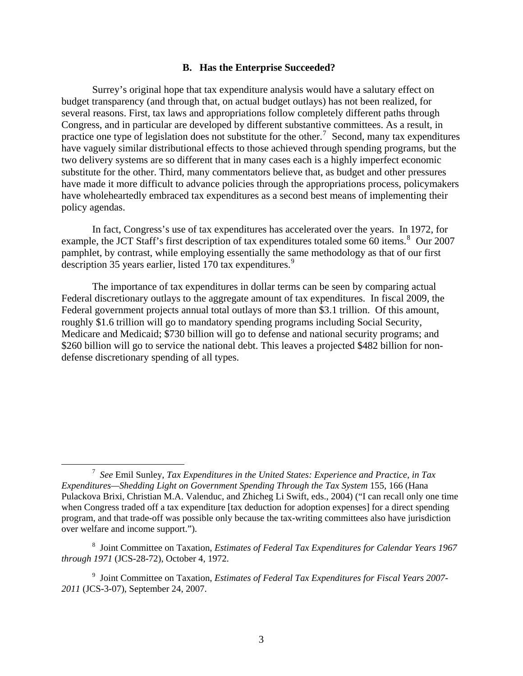#### **B. Has the Enterprise Succeeded?**

Surrey's original hope that tax expenditure analysis would have a salutary effect on budget transparency (and through that, on actual budget outlays) has not been realized, for several reasons. First, tax laws and appropriations follow completely different paths through Congress, and in particular are developed by different substantive committees. As a result, in practice one type of legislation does not substitute for the other.<sup>[7](#page-3-0)</sup> Second, many tax expenditures have vaguely similar distributional effects to those achieved through spending programs, but the two delivery systems are so different that in many cases each is a highly imperfect economic substitute for the other. Third, many commentators believe that, as budget and other pressures have made it more difficult to advance policies through the appropriations process, policymakers have wholeheartedly embraced tax expenditures as a second best means of implementing their policy agendas.

In fact, Congress's use of tax expenditures has accelerated over the years. In 1972, for example, the JCT Staff's first description of tax expenditures totaled some 60 items.<sup>[8](#page-3-1)</sup> Our 2007 pamphlet, by contrast, while employing essentially the same methodology as that of our first description 35 years earlier, listed 170 tax expenditures.<sup>[9](#page-3-2)</sup>

The importance of tax expenditures in dollar terms can be seen by comparing actual Federal discretionary outlays to the aggregate amount of tax expenditures. In fiscal 2009, the Federal government projects annual total outlays of more than \$3.1 trillion. Of this amount, roughly \$1.6 trillion will go to mandatory spending programs including Social Security, Medicare and Medicaid; \$730 billion will go to defense and national security programs; and \$260 billion will go to service the national debt. This leaves a projected \$482 billion for nondefense discretionary spending of all types.

<span id="page-3-0"></span> <sup>7</sup> *See* Emil Sunley, *Tax Expenditures in the United States: Experience and Practice*, *in Tax Expenditures—Shedding Light on Government Spending Through the Tax System* 155, 166 (Hana Pulackova Brixi, Christian M.A. Valenduc, and Zhicheg Li Swift, eds., 2004) ("I can recall only one time when Congress traded off a tax expenditure [tax deduction for adoption expenses] for a direct spending program, and that trade-off was possible only because the tax-writing committees also have jurisdiction over welfare and income support.").

<span id="page-3-1"></span><sup>8</sup> Joint Committee on Taxation, *Estimates of Federal Tax Expenditures for Calendar Years 1967 through 1971* (JCS-28-72), October 4, 1972.

<span id="page-3-2"></span><sup>9</sup> Joint Committee on Taxation, *Estimates of Federal Tax Expenditures for Fiscal Years 2007- 2011* (JCS-3-07), September 24, 2007.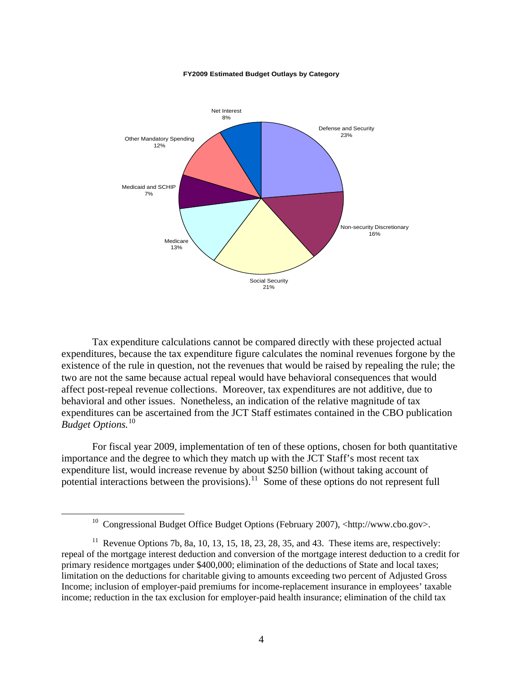

#### **FY2009 Estimated Budget Outlays by Category**

Tax expenditure calculations cannot be compared directly with these projected actual expenditures, because the tax expenditure figure calculates the nominal revenues forgone by the existence of the rule in question, not the revenues that would be raised by repealing the rule; the two are not the same because actual repeal would have behavioral consequences that would affect post-repeal revenue collections. Moreover, tax expenditures are not additive, due to behavioral and other issues. Nonetheless, an indication of the relative magnitude of tax expenditures can be ascertained from the JCT Staff estimates contained in the CBO publication *Budget Options.*[10](#page-4-0)

For fiscal year 2009, implementation of ten of these options, chosen for both quantitative importance and the degree to which they match up with the JCT Staff's most recent tax expenditure list, would increase revenue by about \$250 billion (without taking account of potential interactions between the provisions).<sup>[11](#page-4-1)</sup> Some of these options do not represent full

<sup>&</sup>lt;sup>10</sup> Congressional Budget Office Budget Options (February 2007), <http://www.cbo.gov>.

<span id="page-4-1"></span><span id="page-4-0"></span><sup>&</sup>lt;sup>11</sup> Revenue Options 7b, 8a, 10, 13, 15, 18, 23, 28, 35, and 43. These items are, respectively: repeal of the mortgage interest deduction and conversion of the mortgage interest deduction to a credit for primary residence mortgages under \$400,000; elimination of the deductions of State and local taxes; limitation on the deductions for charitable giving to amounts exceeding two percent of Adjusted Gross Income; inclusion of employer-paid premiums for income-replacement insurance in employees' taxable income; reduction in the tax exclusion for employer-paid health insurance; elimination of the child tax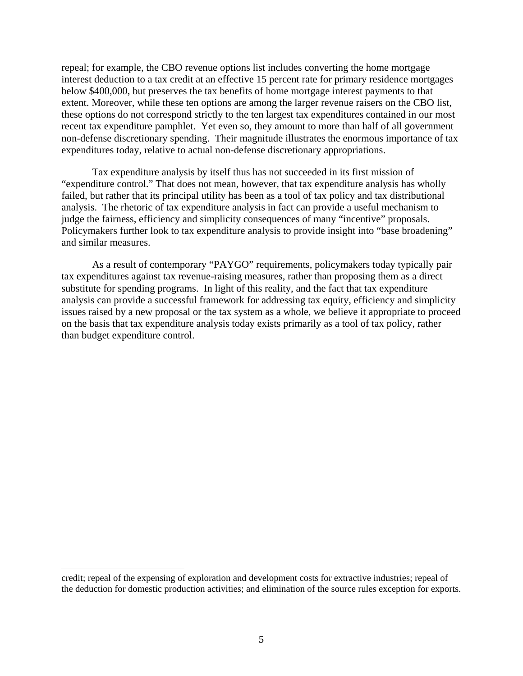repeal; for example, the CBO revenue options list includes converting the home mortgage interest deduction to a tax credit at an effective 15 percent rate for primary residence mortgages below \$400,000, but preserves the tax benefits of home mortgage interest payments to that extent. Moreover, while these ten options are among the larger revenue raisers on the CBO list, these options do not correspond strictly to the ten largest tax expenditures contained in our most recent tax expenditure pamphlet. Yet even so, they amount to more than half of all government non-defense discretionary spending. Their magnitude illustrates the enormous importance of tax expenditures today, relative to actual non-defense discretionary appropriations.

Tax expenditure analysis by itself thus has not succeeded in its first mission of "expenditure control." That does not mean, however, that tax expenditure analysis has wholly failed, but rather that its principal utility has been as a tool of tax policy and tax distributional analysis. The rhetoric of tax expenditure analysis in fact can provide a useful mechanism to judge the fairness, efficiency and simplicity consequences of many "incentive" proposals. Policymakers further look to tax expenditure analysis to provide insight into "base broadening" and similar measures.

As a result of contemporary "PAYGO" requirements, policymakers today typically pair tax expenditures against tax revenue-raising measures, rather than proposing them as a direct substitute for spending programs. In light of this reality, and the fact that tax expenditure analysis can provide a successful framework for addressing tax equity, efficiency and simplicity issues raised by a new proposal or the tax system as a whole, we believe it appropriate to proceed on the basis that tax expenditure analysis today exists primarily as a tool of tax policy, rather than budget expenditure control.

 $\overline{a}$ 

credit; repeal of the expensing of exploration and development costs for extractive industries; repeal of the deduction for domestic production activities; and elimination of the source rules exception for exports.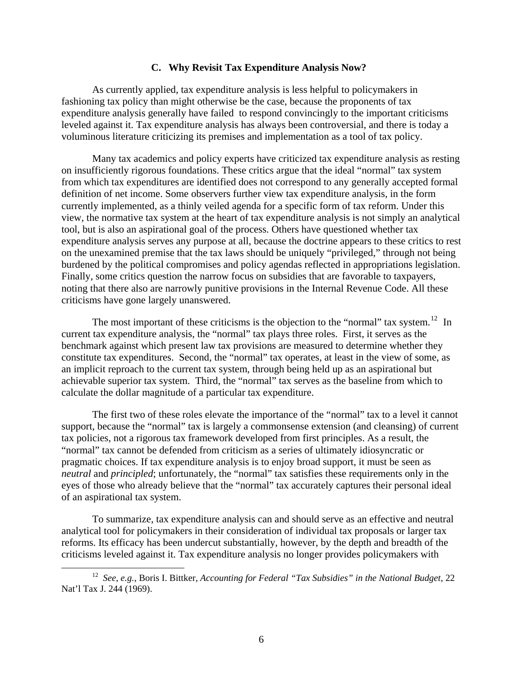#### **C. Why Revisit Tax Expenditure Analysis Now?**

As currently applied, tax expenditure analysis is less helpful to policymakers in fashioning tax policy than might otherwise be the case, because the proponents of tax expenditure analysis generally have failed to respond convincingly to the important criticisms leveled against it. Tax expenditure analysis has always been controversial, and there is today a voluminous literature criticizing its premises and implementation as a tool of tax policy.

Many tax academics and policy experts have criticized tax expenditure analysis as resting on insufficiently rigorous foundations. These critics argue that the ideal "normal" tax system from which tax expenditures are identified does not correspond to any generally accepted formal definition of net income. Some observers further view tax expenditure analysis, in the form currently implemented, as a thinly veiled agenda for a specific form of tax reform. Under this view, the normative tax system at the heart of tax expenditure analysis is not simply an analytical tool, but is also an aspirational goal of the process. Others have questioned whether tax expenditure analysis serves any purpose at all, because the doctrine appears to these critics to rest on the unexamined premise that the tax laws should be uniquely "privileged," through not being burdened by the political compromises and policy agendas reflected in appropriations legislation. Finally, some critics question the narrow focus on subsidies that are favorable to taxpayers, noting that there also are narrowly punitive provisions in the Internal Revenue Code. All these criticisms have gone largely unanswered.

The most important of these criticisms is the objection to the "normal" tax system.<sup>[12](#page-6-0)</sup> In current tax expenditure analysis, the "normal" tax plays three roles. First, it serves as the benchmark against which present law tax provisions are measured to determine whether they constitute tax expenditures. Second, the "normal" tax operates, at least in the view of some, as an implicit reproach to the current tax system, through being held up as an aspirational but achievable superior tax system. Third, the "normal" tax serves as the baseline from which to calculate the dollar magnitude of a particular tax expenditure.

The first two of these roles elevate the importance of the "normal" tax to a level it cannot support, because the "normal" tax is largely a commonsense extension (and cleansing) of current tax policies, not a rigorous tax framework developed from first principles. As a result, the "normal" tax cannot be defended from criticism as a series of ultimately idiosyncratic or pragmatic choices. If tax expenditure analysis is to enjoy broad support, it must be seen as *neutral* and *principled*; unfortunately, the "normal" tax satisfies these requirements only in the eyes of those who already believe that the "normal" tax accurately captures their personal ideal of an aspirational tax system.

To summarize, tax expenditure analysis can and should serve as an effective and neutral analytical tool for policymakers in their consideration of individual tax proposals or larger tax reforms. Its efficacy has been undercut substantially, however, by the depth and breadth of the criticisms leveled against it. Tax expenditure analysis no longer provides policymakers with

<span id="page-6-0"></span> <sup>12</sup> *See*, *e.g.*, Boris I. Bittker, *Accounting for Federal "Tax Subsidies" in the National Budget*, 22 Nat'l Tax J. 244 (1969).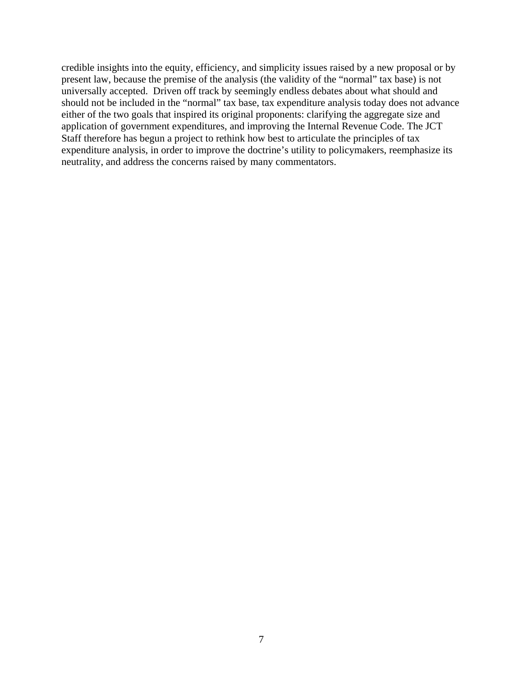credible insights into the equity, efficiency, and simplicity issues raised by a new proposal or by present law, because the premise of the analysis (the validity of the "normal" tax base) is not universally accepted. Driven off track by seemingly endless debates about what should and should not be included in the "normal" tax base, tax expenditure analysis today does not advance either of the two goals that inspired its original proponents: clarifying the aggregate size and application of government expenditures, and improving the Internal Revenue Code. The JCT Staff therefore has begun a project to rethink how best to articulate the principles of tax expenditure analysis, in order to improve the doctrine's utility to policymakers, reemphasize its neutrality, and address the concerns raised by many commentators.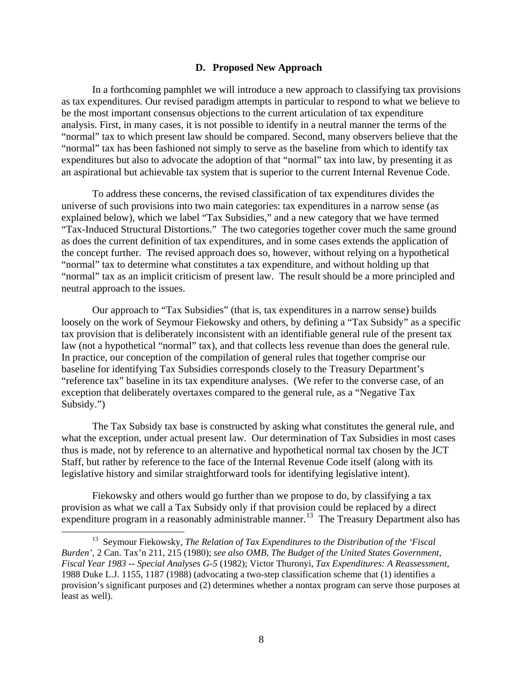#### **D. Proposed New Approach**

In a forthcoming pamphlet we will introduce a new approach to classifying tax provisions as tax expenditures. Our revised paradigm attempts in particular to respond to what we believe to be the most important consensus objections to the current articulation of tax expenditure analysis. First, in many cases, it is not possible to identify in a neutral manner the terms of the "normal" tax to which present law should be compared. Second, many observers believe that the "normal" tax has been fashioned not simply to serve as the baseline from which to identify tax expenditures but also to advocate the adoption of that "normal" tax into law, by presenting it as an aspirational but achievable tax system that is superior to the current Internal Revenue Code.

To address these concerns, the revised classification of tax expenditures divides the universe of such provisions into two main categories: tax expenditures in a narrow sense (as explained below), which we label "Tax Subsidies," and a new category that we have termed "Tax-Induced Structural Distortions." The two categories together cover much the same ground as does the current definition of tax expenditures, and in some cases extends the application of the concept further. The revised approach does so, however, without relying on a hypothetical "normal" tax to determine what constitutes a tax expenditure, and without holding up that "normal" tax as an implicit criticism of present law. The result should be a more principled and neutral approach to the issues.

Our approach to "Tax Subsidies" (that is, tax expenditures in a narrow sense) builds loosely on the work of Seymour Fiekowsky and others, by defining a "Tax Subsidy" as a specific tax provision that is deliberately inconsistent with an identifiable general rule of the present tax law (not a hypothetical "normal" tax), and that collects less revenue than does the general rule. In practice, our conception of the compilation of general rules that together comprise our baseline for identifying Tax Subsidies corresponds closely to the Treasury Department's "reference tax" baseline in its tax expenditure analyses. (We refer to the converse case, of an exception that deliberately overtaxes compared to the general rule, as a "Negative Tax Subsidy.")

The Tax Subsidy tax base is constructed by asking what constitutes the general rule, and what the exception, under actual present law. Our determination of Tax Subsidies in most cases thus is made, not by reference to an alternative and hypothetical normal tax chosen by the JCT Staff, but rather by reference to the face of the Internal Revenue Code itself (along with its legislative history and similar straightforward tools for identifying legislative intent).

Fiekowsky and others would go further than we propose to do, by classifying a tax provision as what we call a Tax Subsidy only if that provision could be replaced by a direct expenditure program in a reasonably administrable manner.<sup>[13](#page-8-0)</sup> The Treasury Department also has

<span id="page-8-0"></span><sup>&</sup>lt;sup>13</sup> Seymour Fiekowsky, *The Relation of Tax Expenditures to the Distribution of the 'Fiscal Burden'*, 2 Can. Tax'n 211, 215 (1980); *see also OMB, The Budget of the United States Government, Fiscal Year 1983 -- Special Analyses G-5* (1982); Victor Thuronyi, *Tax Expenditures: A Reassessment*, 1988 Duke L.J. 1155, 1187 (1988) (advocating a two-step classification scheme that (1) identifies a provision's significant purposes and (2) determines whether a nontax program can serve those purposes at least as well).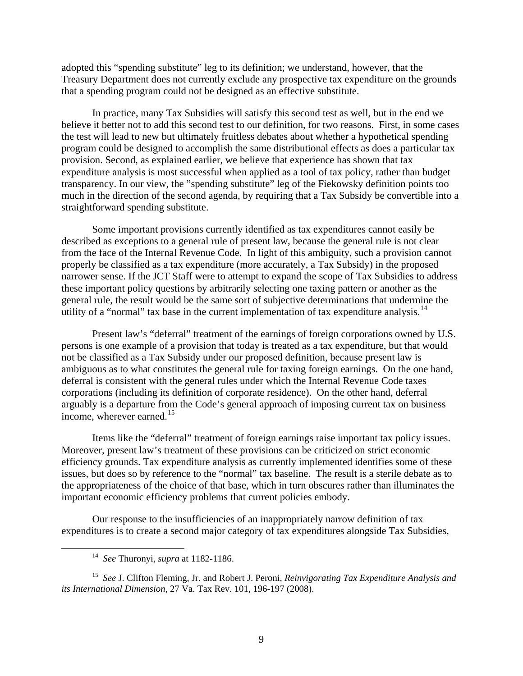adopted this "spending substitute" leg to its definition; we understand, however, that the Treasury Department does not currently exclude any prospective tax expenditure on the grounds that a spending program could not be designed as an effective substitute.

In practice, many Tax Subsidies will satisfy this second test as well, but in the end we believe it better not to add this second test to our definition, for two reasons. First, in some cases the test will lead to new but ultimately fruitless debates about whether a hypothetical spending program could be designed to accomplish the same distributional effects as does a particular tax provision. Second, as explained earlier, we believe that experience has shown that tax expenditure analysis is most successful when applied as a tool of tax policy, rather than budget transparency. In our view, the "spending substitute" leg of the Fiekowsky definition points too much in the direction of the second agenda, by requiring that a Tax Subsidy be convertible into a straightforward spending substitute.

Some important provisions currently identified as tax expenditures cannot easily be described as exceptions to a general rule of present law, because the general rule is not clear from the face of the Internal Revenue Code. In light of this ambiguity, such a provision cannot properly be classified as a tax expenditure (more accurately, a Tax Subsidy) in the proposed narrower sense. If the JCT Staff were to attempt to expand the scope of Tax Subsidies to address these important policy questions by arbitrarily selecting one taxing pattern or another as the general rule, the result would be the same sort of subjective determinations that undermine the utility of a "normal" tax base in the current implementation of tax expenditure analysis.<sup>[14](#page-9-0)</sup>

Present law's "deferral" treatment of the earnings of foreign corporations owned by U.S. persons is one example of a provision that today is treated as a tax expenditure, but that would not be classified as a Tax Subsidy under our proposed definition, because present law is ambiguous as to what constitutes the general rule for taxing foreign earnings. On the one hand, deferral is consistent with the general rules under which the Internal Revenue Code taxes corporations (including its definition of corporate residence). On the other hand, deferral arguably is a departure from the Code's general approach of imposing current tax on business income, wherever earned.<sup>[15](#page-9-1)</sup>

Items like the "deferral" treatment of foreign earnings raise important tax policy issues. Moreover, present law's treatment of these provisions can be criticized on strict economic efficiency grounds. Tax expenditure analysis as currently implemented identifies some of these issues, but does so by reference to the "normal" tax baseline. The result is a sterile debate as to the appropriateness of the choice of that base, which in turn obscures rather than illuminates the important economic efficiency problems that current policies embody.

Our response to the insufficiencies of an inappropriately narrow definition of tax expenditures is to create a second major category of tax expenditures alongside Tax Subsidies,

 <sup>14</sup> *See* Thuronyi, *supra* at 1182-1186.

<span id="page-9-1"></span><span id="page-9-0"></span><sup>15</sup> *See* J. Clifton Fleming, Jr. and Robert J. Peroni*, Reinvigorating Tax Expenditure Analysis and its International Dimension*, 27 Va. Tax Rev. 101, 196-197 (2008).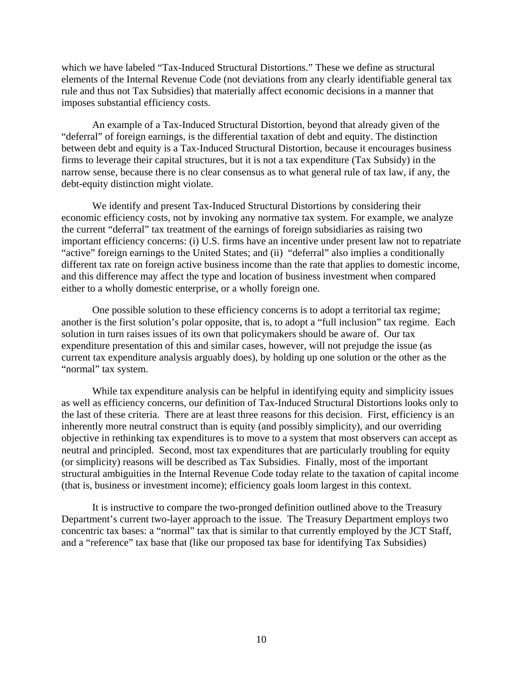which we have labeled "Tax-Induced Structural Distortions." These we define as structural elements of the Internal Revenue Code (not deviations from any clearly identifiable general tax rule and thus not Tax Subsidies) that materially affect economic decisions in a manner that imposes substantial efficiency costs.

An example of a Tax-Induced Structural Distortion, beyond that already given of the "deferral" of foreign earnings, is the differential taxation of debt and equity. The distinction between debt and equity is a Tax-Induced Structural Distortion, because it encourages business firms to leverage their capital structures, but it is not a tax expenditure (Tax Subsidy) in the narrow sense, because there is no clear consensus as to what general rule of tax law, if any, the debt-equity distinction might violate.

We identify and present Tax-Induced Structural Distortions by considering their economic efficiency costs, not by invoking any normative tax system. For example, we analyze the current "deferral" tax treatment of the earnings of foreign subsidiaries as raising two important efficiency concerns: (i) U.S. firms have an incentive under present law not to repatriate "active" foreign earnings to the United States; and (ii) "deferral" also implies a conditionally different tax rate on foreign active business income than the rate that applies to domestic income, and this difference may affect the type and location of business investment when compared either to a wholly domestic enterprise, or a wholly foreign one.

One possible solution to these efficiency concerns is to adopt a territorial tax regime; another is the first solution's polar opposite, that is, to adopt a "full inclusion" tax regime. Each solution in turn raises issues of its own that policymakers should be aware of. Our tax expenditure presentation of this and similar cases, however, will not prejudge the issue (as current tax expenditure analysis arguably does), by holding up one solution or the other as the "normal" tax system.

While tax expenditure analysis can be helpful in identifying equity and simplicity issues as well as efficiency concerns, our definition of Tax-Induced Structural Distortions looks only to the last of these criteria. There are at least three reasons for this decision. First, efficiency is an inherently more neutral construct than is equity (and possibly simplicity), and our overriding objective in rethinking tax expenditures is to move to a system that most observers can accept as neutral and principled. Second, most tax expenditures that are particularly troubling for equity (or simplicity) reasons will be described as Tax Subsidies. Finally, most of the important structural ambiguities in the Internal Revenue Code today relate to the taxation of capital income (that is, business or investment income); efficiency goals loom largest in this context.

It is instructive to compare the two-pronged definition outlined above to the Treasury Department's current two-layer approach to the issue. The Treasury Department employs two concentric tax bases: a "normal" tax that is similar to that currently employed by the JCT Staff, and a "reference" tax base that (like our proposed tax base for identifying Tax Subsidies)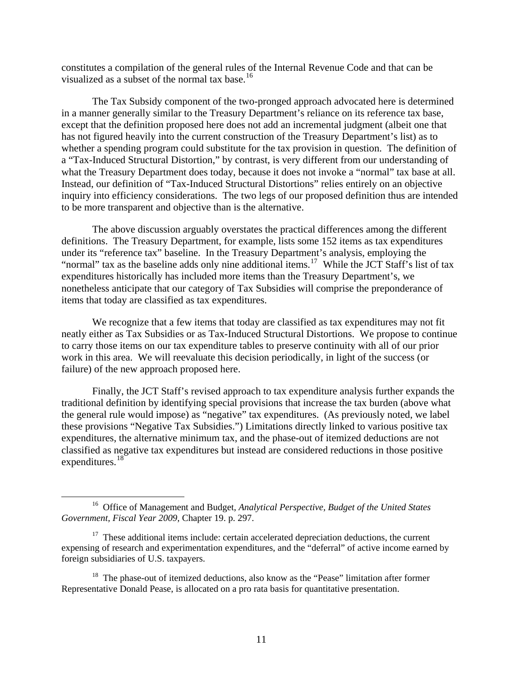constitutes a compilation of the general rules of the Internal Revenue Code and that can be visualized as a subset of the normal tax base.<sup>[16](#page-11-0)</sup>

The Tax Subsidy component of the two-pronged approach advocated here is determined in a manner generally similar to the Treasury Department's reliance on its reference tax base, except that the definition proposed here does not add an incremental judgment (albeit one that has not figured heavily into the current construction of the Treasury Department's list) as to whether a spending program could substitute for the tax provision in question. The definition of a "Tax-Induced Structural Distortion," by contrast, is very different from our understanding of what the Treasury Department does today, because it does not invoke a "normal" tax base at all. Instead, our definition of "Tax-Induced Structural Distortions" relies entirely on an objective inquiry into efficiency considerations. The two legs of our proposed definition thus are intended to be more transparent and objective than is the alternative.

The above discussion arguably overstates the practical differences among the different definitions. The Treasury Department, for example, lists some 152 items as tax expenditures under its "reference tax" baseline. In the Treasury Department's analysis, employing the "normal" tax as the baseline adds only nine additional items.<sup>[17](#page-11-1)</sup> While the JCT Staff's list of tax expenditures historically has included more items than the Treasury Department's, we nonetheless anticipate that our category of Tax Subsidies will comprise the preponderance of items that today are classified as tax expenditures.

We recognize that a few items that today are classified as tax expenditures may not fit neatly either as Tax Subsidies or as Tax-Induced Structural Distortions. We propose to continue to carry those items on our tax expenditure tables to preserve continuity with all of our prior work in this area. We will reevaluate this decision periodically, in light of the success (or failure) of the new approach proposed here.

Finally, the JCT Staff's revised approach to tax expenditure analysis further expands the traditional definition by identifying special provisions that increase the tax burden (above what the general rule would impose) as "negative" tax expenditures. (As previously noted, we label these provisions "Negative Tax Subsidies.") Limitations directly linked to various positive tax expenditures, the alternative minimum tax, and the phase-out of itemized deductions are not classified as negative tax expenditures but instead are considered reductions in those positive expenditures.<sup>[18](#page-11-2)</sup>

<span id="page-11-0"></span> <sup>16</sup> Office of Management and Budget, *Analytical Perspective, Budget of the United States Government, Fiscal Year 2009,* Chapter 19. p. 297.

<span id="page-11-1"></span> $17$  These additional items include: certain accelerated depreciation deductions, the current expensing of research and experimentation expenditures, and the "deferral" of active income earned by foreign subsidiaries of U.S. taxpayers.

<span id="page-11-2"></span><sup>&</sup>lt;sup>18</sup> The phase-out of itemized deductions, also know as the "Pease" limitation after former Representative Donald Pease, is allocated on a pro rata basis for quantitative presentation.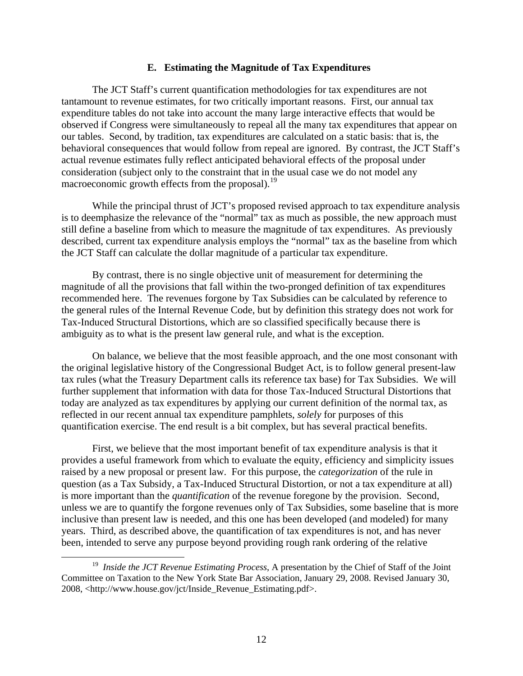#### **E. Estimating the Magnitude of Tax Expenditures**

The JCT Staff's current quantification methodologies for tax expenditures are not tantamount to revenue estimates, for two critically important reasons. First, our annual tax expenditure tables do not take into account the many large interactive effects that would be observed if Congress were simultaneously to repeal all the many tax expenditures that appear on our tables. Second, by tradition, tax expenditures are calculated on a static basis: that is, the behavioral consequences that would follow from repeal are ignored. By contrast, the JCT Staff's actual revenue estimates fully reflect anticipated behavioral effects of the proposal under consideration (subject only to the constraint that in the usual case we do not model any macroeconomic growth effects from the proposal). $^{19}$  $^{19}$  $^{19}$ 

While the principal thrust of JCT's proposed revised approach to tax expenditure analysis is to deemphasize the relevance of the "normal" tax as much as possible, the new approach must still define a baseline from which to measure the magnitude of tax expenditures. As previously described, current tax expenditure analysis employs the "normal" tax as the baseline from which the JCT Staff can calculate the dollar magnitude of a particular tax expenditure.

By contrast, there is no single objective unit of measurement for determining the magnitude of all the provisions that fall within the two-pronged definition of tax expenditures recommended here. The revenues forgone by Tax Subsidies can be calculated by reference to the general rules of the Internal Revenue Code, but by definition this strategy does not work for Tax-Induced Structural Distortions, which are so classified specifically because there is ambiguity as to what is the present law general rule, and what is the exception.

On balance, we believe that the most feasible approach, and the one most consonant with the original legislative history of the Congressional Budget Act, is to follow general present-law tax rules (what the Treasury Department calls its reference tax base) for Tax Subsidies. We will further supplement that information with data for those Tax-Induced Structural Distortions that today are analyzed as tax expenditures by applying our current definition of the normal tax, as reflected in our recent annual tax expenditure pamphlets, *solely* for purposes of this quantification exercise. The end result is a bit complex, but has several practical benefits.

First, we believe that the most important benefit of tax expenditure analysis is that it provides a useful framework from which to evaluate the equity, efficiency and simplicity issues raised by a new proposal or present law. For this purpose, the *categorization* of the rule in question (as a Tax Subsidy, a Tax-Induced Structural Distortion, or not a tax expenditure at all) is more important than the *quantification* of the revenue foregone by the provision. Second, unless we are to quantify the forgone revenues only of Tax Subsidies, some baseline that is more inclusive than present law is needed, and this one has been developed (and modeled) for many years. Third, as described above, the quantification of tax expenditures is not, and has never been, intended to serve any purpose beyond providing rough rank ordering of the relative

<span id="page-12-0"></span> <sup>19</sup> *Inside the JCT Revenue Estimating Process*, A presentation by the Chief of Staff of the Joint Committee on Taxation to the New York State Bar Association, January 29, 2008. Revised January 30, 2008, <http://www.house.gov/jct/Inside\_Revenue\_Estimating.pdf>.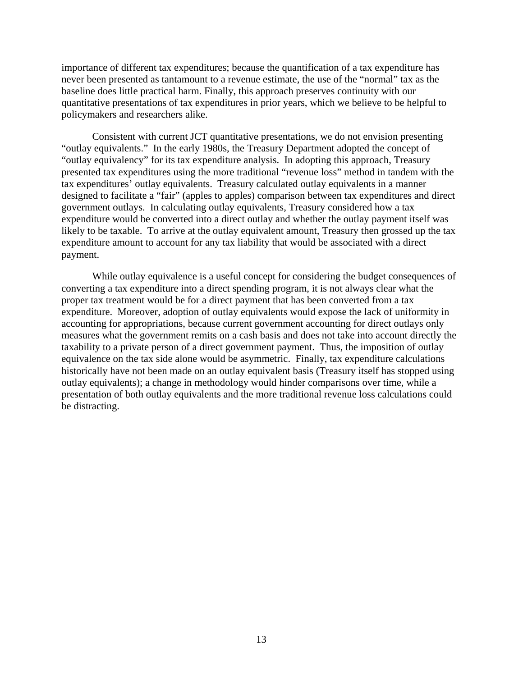importance of different tax expenditures; because the quantification of a tax expenditure has never been presented as tantamount to a revenue estimate, the use of the "normal" tax as the baseline does little practical harm. Finally, this approach preserves continuity with our quantitative presentations of tax expenditures in prior years, which we believe to be helpful to policymakers and researchers alike.

Consistent with current JCT quantitative presentations, we do not envision presenting "outlay equivalents." In the early 1980s, the Treasury Department adopted the concept of "outlay equivalency" for its tax expenditure analysis. In adopting this approach, Treasury presented tax expenditures using the more traditional "revenue loss" method in tandem with the tax expenditures' outlay equivalents. Treasury calculated outlay equivalents in a manner designed to facilitate a "fair" (apples to apples) comparison between tax expenditures and direct government outlays. In calculating outlay equivalents, Treasury considered how a tax expenditure would be converted into a direct outlay and whether the outlay payment itself was likely to be taxable. To arrive at the outlay equivalent amount, Treasury then grossed up the tax expenditure amount to account for any tax liability that would be associated with a direct payment.

While outlay equivalence is a useful concept for considering the budget consequences of converting a tax expenditure into a direct spending program, it is not always clear what the proper tax treatment would be for a direct payment that has been converted from a tax expenditure. Moreover, adoption of outlay equivalents would expose the lack of uniformity in accounting for appropriations, because current government accounting for direct outlays only measures what the government remits on a cash basis and does not take into account directly the taxability to a private person of a direct government payment. Thus, the imposition of outlay equivalence on the tax side alone would be asymmetric. Finally, tax expenditure calculations historically have not been made on an outlay equivalent basis (Treasury itself has stopped using outlay equivalents); a change in methodology would hinder comparisons over time, while a presentation of both outlay equivalents and the more traditional revenue loss calculations could be distracting.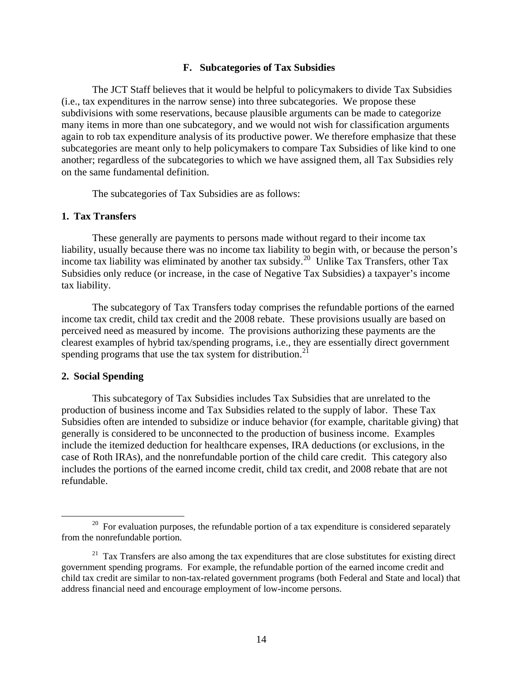#### **F. Subcategories of Tax Subsidies**

The JCT Staff believes that it would be helpful to policymakers to divide Tax Subsidies (i.e., tax expenditures in the narrow sense) into three subcategories. We propose these subdivisions with some reservations, because plausible arguments can be made to categorize many items in more than one subcategory, and we would not wish for classification arguments again to rob tax expenditure analysis of its productive power. We therefore emphasize that these subcategories are meant only to help policymakers to compare Tax Subsidies of like kind to one another; regardless of the subcategories to which we have assigned them, all Tax Subsidies rely on the same fundamental definition.

The subcategories of Tax Subsidies are as follows:

## **1. Tax Transfers**

These generally are payments to persons made without regard to their income tax liability, usually because there was no income tax liability to begin with, or because the person's income tax liability was eliminated by another tax subsidy.<sup>[20](#page-14-0)</sup> Unlike Tax Transfers, other Tax Subsidies only reduce (or increase, in the case of Negative Tax Subsidies) a taxpayer's income tax liability.

The subcategory of Tax Transfers today comprises the refundable portions of the earned income tax credit, child tax credit and the 2008 rebate. These provisions usually are based on perceived need as measured by income. The provisions authorizing these payments are the clearest examples of hybrid tax/spending programs, i.e., they are essentially direct government spending programs that use the tax system for distribution.<sup>[21](#page-14-1)</sup>

#### **2. Social Spending**

This subcategory of Tax Subsidies includes Tax Subsidies that are unrelated to the production of business income and Tax Subsidies related to the supply of labor. These Tax Subsidies often are intended to subsidize or induce behavior (for example, charitable giving) that generally is considered to be unconnected to the production of business income. Examples include the itemized deduction for healthcare expenses, IRA deductions (or exclusions, in the case of Roth IRAs), and the nonrefundable portion of the child care credit. This category also includes the portions of the earned income credit, child tax credit, and 2008 rebate that are not refundable.

<span id="page-14-0"></span><sup>&</sup>lt;sup>20</sup> For evaluation purposes, the refundable portion of a tax expenditure is considered separately from the nonrefundable portion.

<span id="page-14-1"></span> $21$  Tax Transfers are also among the tax expenditures that are close substitutes for existing direct government spending programs. For example, the refundable portion of the earned income credit and child tax credit are similar to non-tax-related government programs (both Federal and State and local) that address financial need and encourage employment of low-income persons.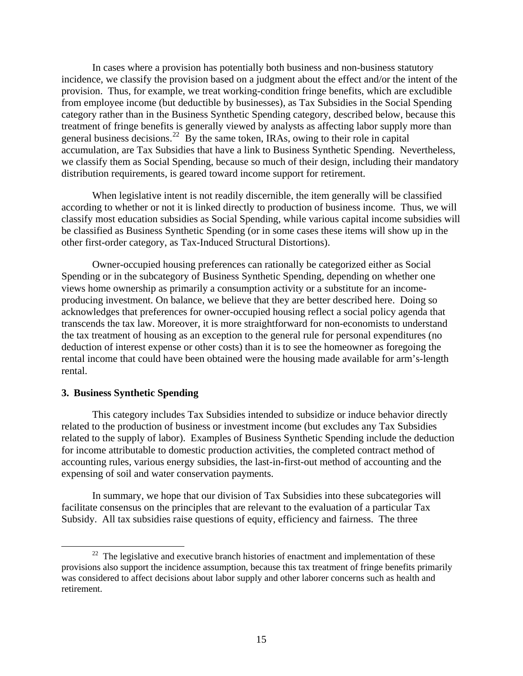In cases where a provision has potentially both business and non-business statutory incidence, we classify the provision based on a judgment about the effect and/or the intent of the provision. Thus, for example, we treat working-condition fringe benefits, which are excludible from employee income (but deductible by businesses), as Tax Subsidies in the Social Spending category rather than in the Business Synthetic Spending category, described below, because this treatment of fringe benefits is generally viewed by analysts as affecting labor supply more than general business decisions.<sup>[22](#page-15-0)</sup> By the same token, IRAs, owing to their role in capital accumulation, are Tax Subsidies that have a link to Business Synthetic Spending. Nevertheless, we classify them as Social Spending, because so much of their design, including their mandatory distribution requirements, is geared toward income support for retirement.

When legislative intent is not readily discernible, the item generally will be classified according to whether or not it is linked directly to production of business income. Thus, we will classify most education subsidies as Social Spending, while various capital income subsidies will be classified as Business Synthetic Spending (or in some cases these items will show up in the other first-order category, as Tax-Induced Structural Distortions).

Owner-occupied housing preferences can rationally be categorized either as Social Spending or in the subcategory of Business Synthetic Spending, depending on whether one views home ownership as primarily a consumption activity or a substitute for an incomeproducing investment. On balance, we believe that they are better described here. Doing so acknowledges that preferences for owner-occupied housing reflect a social policy agenda that transcends the tax law. Moreover, it is more straightforward for non-economists to understand the tax treatment of housing as an exception to the general rule for personal expenditures (no deduction of interest expense or other costs) than it is to see the homeowner as foregoing the rental income that could have been obtained were the housing made available for arm's-length rental.

#### **3. Business Synthetic Spending**

This category includes Tax Subsidies intended to subsidize or induce behavior directly related to the production of business or investment income (but excludes any Tax Subsidies related to the supply of labor). Examples of Business Synthetic Spending include the deduction for income attributable to domestic production activities, the completed contract method of accounting rules, various energy subsidies, the last-in-first-out method of accounting and the expensing of soil and water conservation payments.

In summary, we hope that our division of Tax Subsidies into these subcategories will facilitate consensus on the principles that are relevant to the evaluation of a particular Tax Subsidy. All tax subsidies raise questions of equity, efficiency and fairness. The three

<span id="page-15-0"></span> $22$  The legislative and executive branch histories of enactment and implementation of these provisions also support the incidence assumption, because this tax treatment of fringe benefits primarily was considered to affect decisions about labor supply and other laborer concerns such as health and retirement.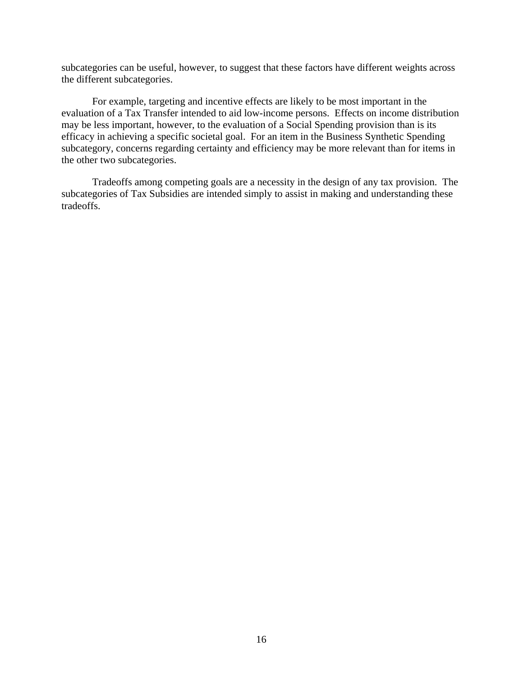subcategories can be useful, however, to suggest that these factors have different weights across the different subcategories.

For example, targeting and incentive effects are likely to be most important in the evaluation of a Tax Transfer intended to aid low-income persons. Effects on income distribution may be less important, however, to the evaluation of a Social Spending provision than is its efficacy in achieving a specific societal goal. For an item in the Business Synthetic Spending subcategory, concerns regarding certainty and efficiency may be more relevant than for items in the other two subcategories.

Tradeoffs among competing goals are a necessity in the design of any tax provision. The subcategories of Tax Subsidies are intended simply to assist in making and understanding these tradeoffs.